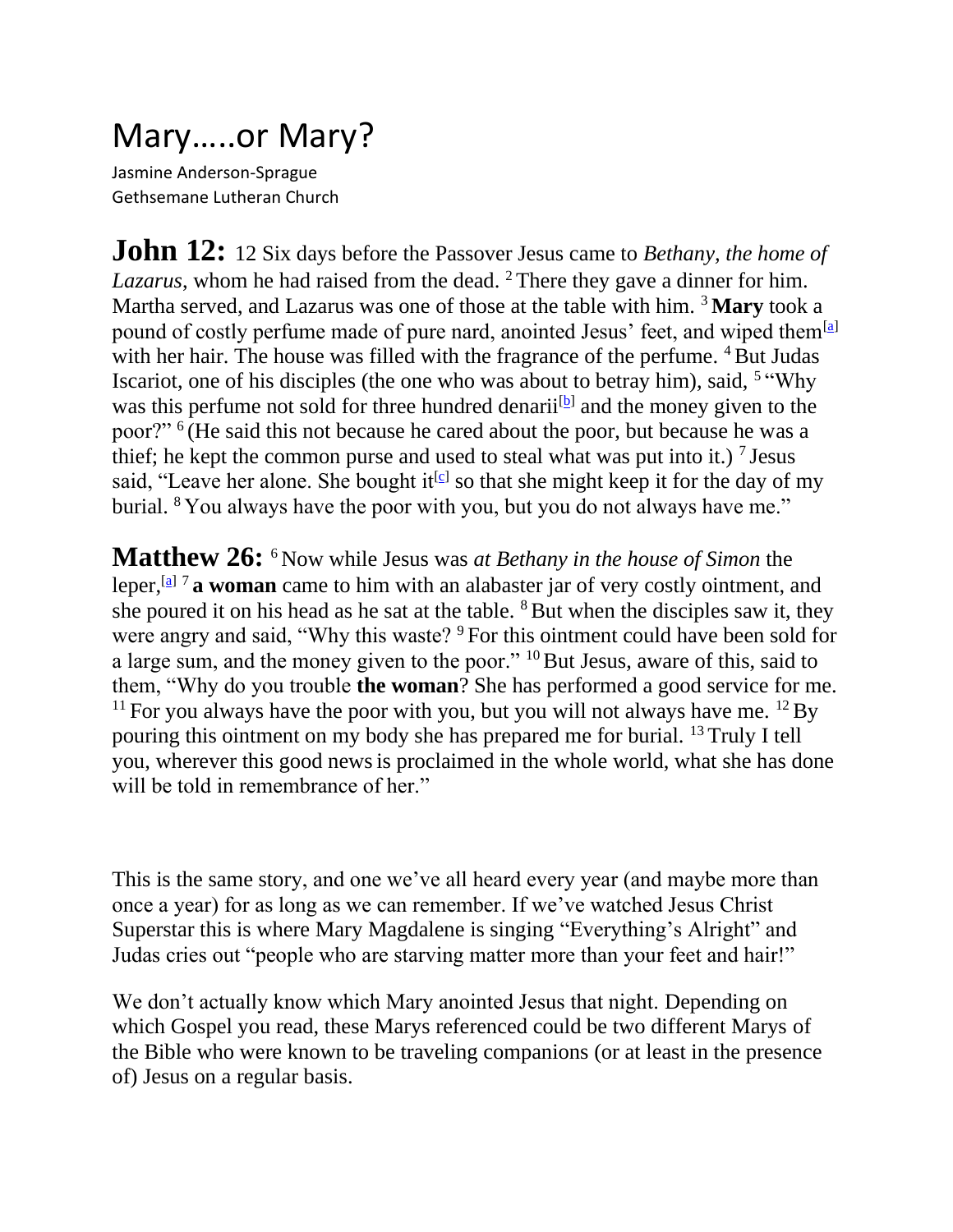## Mary…..or Mary?

Jasmine Anderson-Sprague Gethsemane Lutheran Church

**John 12:** 12 Six days before the Passover Jesus came to *Bethany, the home of Lazarus*, whom he had raised from the dead. <sup>2</sup> There they gave a dinner for him. Martha served, and Lazarus was one of those at the table with him. <sup>3</sup> **Mary** took a pound of costly perfume made of pure nard, anointed Jesus' feet, and wiped them<sup>[\[a\]](https://www.biblegateway.com/passage/?search=john+12&version=NRSV#fen-NRSV-26573a)</sup> with her hair. The house was filled with the fragrance of the perfume. <sup>4</sup>But Judas Iscariot, one of his disciples (the one who was about to betray him), said, <sup>5</sup> "Why was this perfume not sold for three hundred denarii<sup>[\[b\]](https://www.biblegateway.com/passage/?search=john+12&version=NRSV#fen-NRSV-26575b)</sup> and the money given to the poor?"<sup>6</sup> (He said this not because he cared about the poor, but because he was a thief; he kept the common purse and used to steal what was put into it.)  $^7$  Jesus said, "Leave her alone. She bought it  $\mathfrak{g}[\mathfrak{c}]$  so that she might keep it for the day of my burial. <sup>8</sup> You always have the poor with you, but you do not always have me."

**Matthew 26:** <sup>6</sup> Now while Jesus was *at Bethany in the house of Simon* the leper,<sup>[\[a\]](https://www.biblegateway.com/passage/?search=matthew+26&version=NRSV#fen-NRSV-24058a) 7</sup> **a woman** came to him with an alabaster jar of very costly ointment, and she poured it on his head as he sat at the table.  $8$  But when the disciples saw it, they were angry and said, "Why this waste? <sup>9</sup> For this ointment could have been sold for a large sum, and the money given to the poor."  $^{10}$  But Jesus, aware of this, said to them, "Why do you trouble **the woman**? She has performed a good service for me. <sup>11</sup> For you always have the poor with you, but you will not always have me. <sup>12</sup> By pouring this ointment on my body she has prepared me for burial. <sup>13</sup> Truly I tell you, wherever this good newsis proclaimed in the whole world, what she has done will be told in remembrance of her."

This is the same story, and one we've all heard every year (and maybe more than once a year) for as long as we can remember. If we've watched Jesus Christ Superstar this is where Mary Magdalene is singing "Everything's Alright" and Judas cries out "people who are starving matter more than your feet and hair!"

We don't actually know which Mary anointed Jesus that night. Depending on which Gospel you read, these Marys referenced could be two different Marys of the Bible who were known to be traveling companions (or at least in the presence of) Jesus on a regular basis.